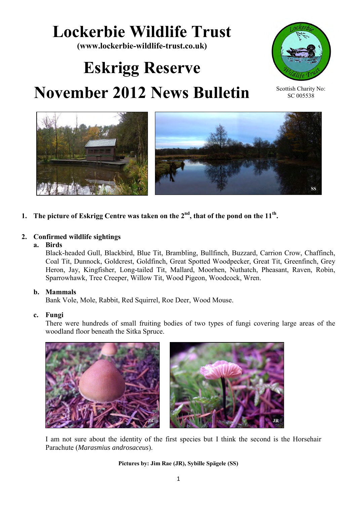## **Lockerbie Wildlife Trust**

**(www.lockerbie-wildlife-trust.co.uk)** 

# **Eskrigg Reserve November 2012 News Bulletin**







**1. The picture of Eskrigg Centre was taken on the 2nd, that of the pond on the 11th .**

## **2. Confirmed wildlife sightings**

 **a. Birds** 

Black-headed Gull, Blackbird, Blue Tit, Brambling, Bullfinch, Buzzard, Carrion Crow, Chaffinch, Coal Tit, Dunnock, Goldcrest, Goldfinch, Great Spotted Woodpecker, Great Tit, Greenfinch, Grey Heron, Jay, Kingfisher, Long-tailed Tit, Mallard, Moorhen, Nuthatch, Pheasant, Raven, Robin, Sparrowhawk, Tree Creeper, Willow Tit, Wood Pigeon, Woodcock, Wren.

## **b. Mammals**

Bank Vole, Mole, Rabbit, Red Squirrel, Roe Deer, Wood Mouse.

## **c. Fungi**

There were hundreds of small fruiting bodies of two types of fungi covering large areas of the woodland floor beneath the Sitka Spruce.



I am not sure about the identity of the first species but I think the second is the Horsehair Parachute (*Marasmius androsaceus*).

**Pictures by: Jim Rae (JR), Sybille Spägele (SS)**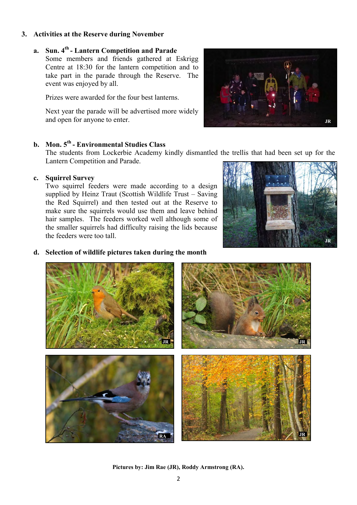#### **3. Activities at the Reserve during November**

## **a. Sun. 4th - Lantern Competition and Parade**

Some members and friends gathered at Eskrigg Centre at 18:30 for the lantern competition and to take part in the parade through the Reserve. The event was enjoyed by all.

Prizes were awarded for the four best lanterns.

Next year the parade will be advertised more widely and open for anyone to enter.

## **b. Mon. 5 th - Environmental Studies Class**

The students from Lockerbie Academy kindly dismantled the trellis that had been set up for the Lantern Competition and Parade.

#### **c. Squirrel Survey**

Two squirrel feeders were made according to a design supplied by Heinz Traut (Scottish Wildlife Trust – Saving the Red Squirrel) and then tested out at the Reserve to make sure the squirrels would use them and leave behind hair samples. The feeders worked well although some of the smaller squirrels had difficulty raising the lids because the feeders were too tall.



#### **d. Selection of wildlife pictures taken during the month**



**Pictures by: Jim Rae (JR), Roddy Armstrong (RA).** 

![](_page_1_Picture_13.jpeg)